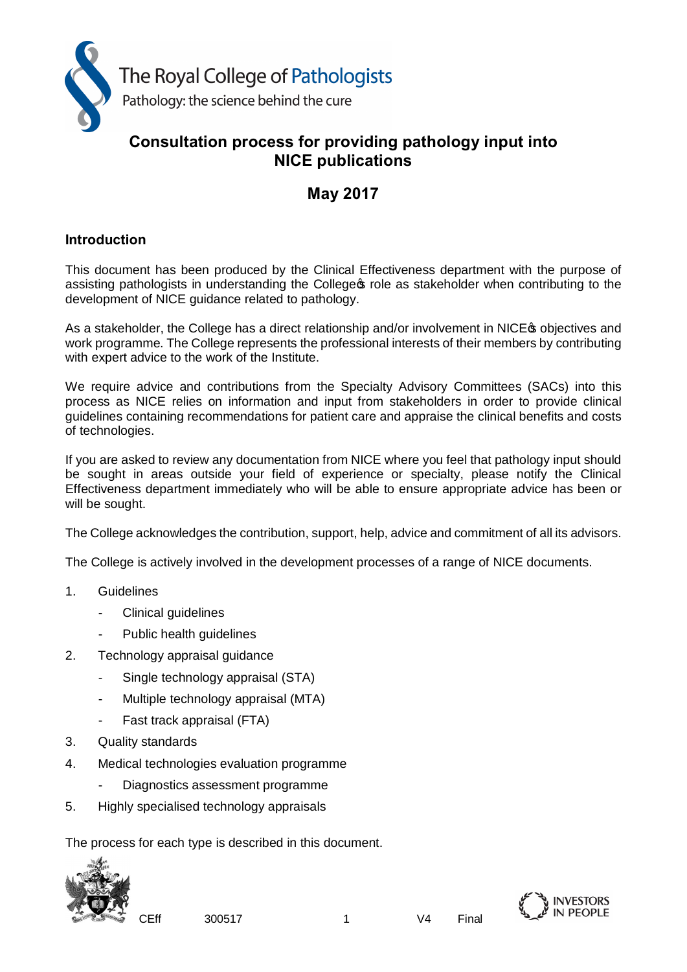

# **Consultation process for providing pathology input into NICE publications**

# **May 2017**

# **Introduction**

This document has been produced by the Clinical Effectiveness department with the purpose of assisting pathologists in understanding the College of role as stakeholder when contributing to the development of NICE guidance related to pathology.

As a stakeholder, the College has a direct relationship and/or involvement in NICE to objectives and work programme. The College represents the professional interests of their members by contributing with expert advice to the work of the Institute.

We require advice and contributions from the Specialty Advisory Committees (SACs) into this process as NICE relies on information and input from stakeholders in order to provide clinical guidelines containing recommendations for patient care and appraise the clinical benefits and costs of technologies.

If you are asked to review any documentation from NICE where you feel that pathology input should be sought in areas outside your field of experience or specialty, please notify the Clinical Effectiveness department immediately who will be able to ensure appropriate advice has been or will be sought.

The College acknowledges the contribution, support, help, advice and commitment of all its advisors.

The College is actively involved in the development processes of a range of NICE documents.

- 1. Guidelines
	- Clinical quidelines
	- Public health guidelines
- 2. Technology appraisal guidance
	- Single technology appraisal (STA)
	- Multiple technology appraisal (MTA)
	- Fast track appraisal (FTA)
- 3. Quality standards
- 4. Medical technologies evaluation programme
	- Diagnostics assessment programme
- 5. Highly specialised technology appraisals

The process for each type is described in this document.



CEff 300517 1 V4 Final

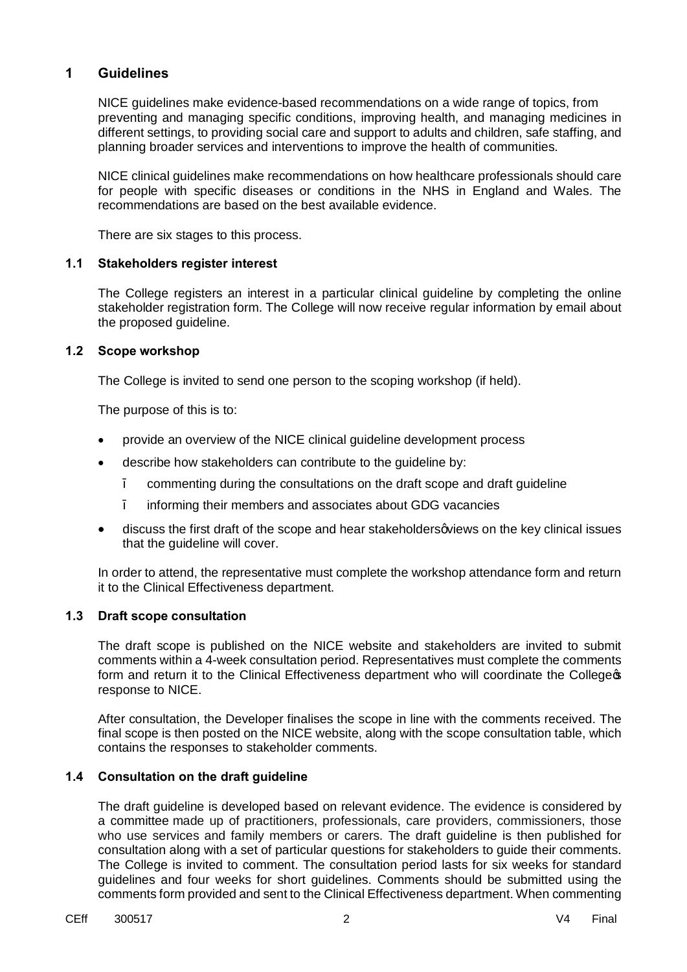## **1 Guidelines**

NICE guidelines make evidence-based recommendations on a wide range of topics, from preventing and managing specific conditions, improving health, and managing medicines in different settings, to providing social care and support to adults and children, safe staffing, and planning broader services and interventions to improve the health of communities.

NICE clinical guidelines make recommendations on how healthcare professionals should care for people with specific diseases or conditions in the NHS in England and Wales. The recommendations are based on the best available evidence.

There are six stages to this process.

#### **1.1 Stakeholders register interest**

The College registers an interest in a particular clinical guideline by completing the online stakeholder registration form. The College will now receive regular information by email about the proposed guideline.

#### **1.2 Scope workshop**

The College is invited to send one person to the scoping workshop (if held).

The purpose of this is to:

- · provide an overview of the NICE clinical guideline development process
- describe how stakeholders can contribute to the quideline by:
	- commenting during the consultations on the draft scope and draft guideline
	- informing their members and associates about GDG vacancies
- discuss the first draft of the scope and hear stakeholders aviews on the key clinical issues that the guideline will cover.

In order to attend, the representative must complete the workshop attendance form and return it to the Clinical Effectiveness department.

## **1.3 Draft scope consultation**

The draft scope is published on the NICE website and stakeholders are invited to submit comments within a 4-week consultation period. Representatives must complete the comments form and return it to the Clinical Effectiveness department who will coordinate the College \$ response to NICE.

After consultation, the Developer finalises the scope in line with the comments received. The final scope is then posted on the NICE website, along with the scope consultation table, which contains the responses to stakeholder comments.

## **1.4 Consultation on the draft guideline**

The draft guideline is developed based on relevant evidence. The evidence is [considered by](https://www.nice.org.uk/process/pmg20/chapter/16-glossary)  [a committee](https://www.nice.org.uk/process/pmg20/chapter/16-glossary) made up of practitioners, professionals, care providers, commissioners, those who use services and family members or carers. The draft guideline is then published for consultation along with a set of particular questions for stakeholders to guide their comments. The College is invited to comment. The consultation period lasts for six weeks for standard guidelines and four weeks for short guidelines. Comments should be submitted using the comments form provided and sent to the Clinical Effectiveness department. When commenting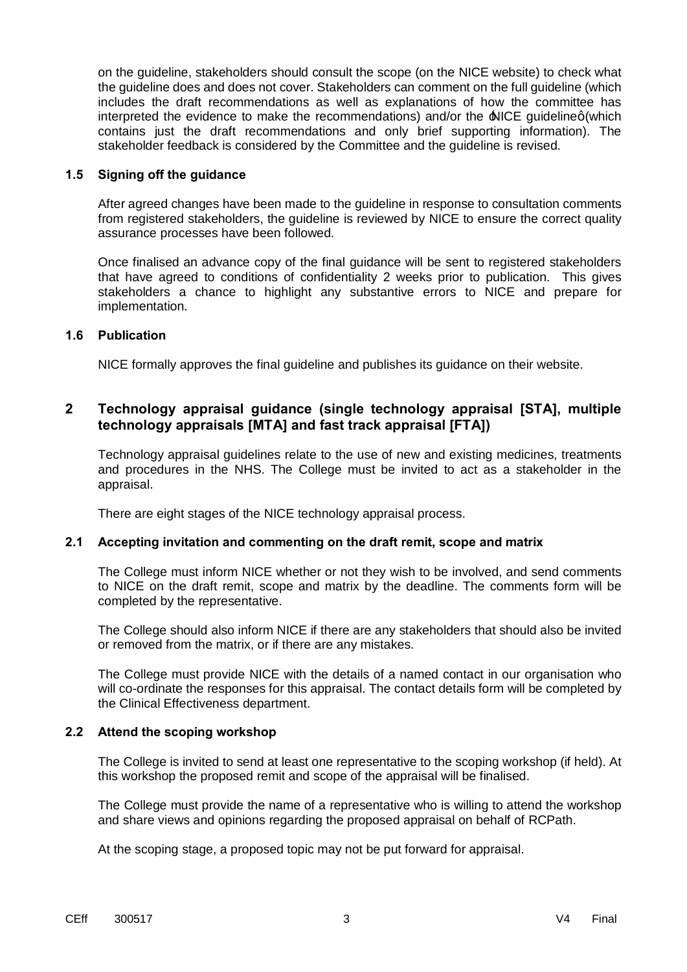on the guideline, stakeholders should consult the scope (on the NICE website) to check what the guideline does and does not cover. Stakeholders can comment on the full guideline (which includes the draft recommendations as well as explanations of how the committee has interpreted the evidence to make the recommendations) and/or the  $\triangle$ NICE guidelineg (which contains just the draft recommendations and only brief supporting information). The stakeholder feedback is considered by the Committee and the guideline is revised.

#### **1.5 Signing off the guidance**

After agreed changes have been made to the guideline in response to consultation comments from registered stakeholders, the guideline is reviewed by NICE to ensure the correct quality assurance processes have been followed.

Once finalised an advance copy of the final guidance will be sent to registered stakeholders that have agreed to conditions of confidentiality 2 weeks prior to publication. This gives stakeholders a chance to highlight any substantive errors to NICE and prepare for implementation.

## **1.6 Publication**

NICE formally approves the final guideline and publishes its guidance on their website.

# **2 Technology appraisal guidance (single technology appraisal [STA], multiple technology appraisals [MTA] and fast track appraisal [FTA])**

Technology appraisal guidelines relate to the use of new and existing medicines, treatments and procedures in the NHS. The College must be invited to act as a stakeholder in the appraisal.

There are eight stages of the NICE technology appraisal process.

## **2.1 Accepting invitation and commenting on the draft remit, scope and matrix**

The College must inform NICE whether or not they wish to be involved, and send comments to NICE on the draft remit, scope and matrix by the deadline. The comments form will be completed by the representative.

The College should also inform NICE if there are any stakeholders that should also be invited or removed from the matrix, or if there are any mistakes.

The College must provide NICE with the details of a named contact in our organisation who will co-ordinate the responses for this appraisal. The contact details form will be completed by the Clinical Effectiveness department.

## **2.2 Attend the scoping workshop**

The College is invited to send at least one representative to the scoping workshop (if held). At this workshop the proposed remit and scope of the appraisal will be finalised.

The College must provide the name of a representative who is willing to attend the workshop and share views and opinions regarding the proposed appraisal on behalf of RCPath.

At the scoping stage, a proposed topic may not be put forward for appraisal.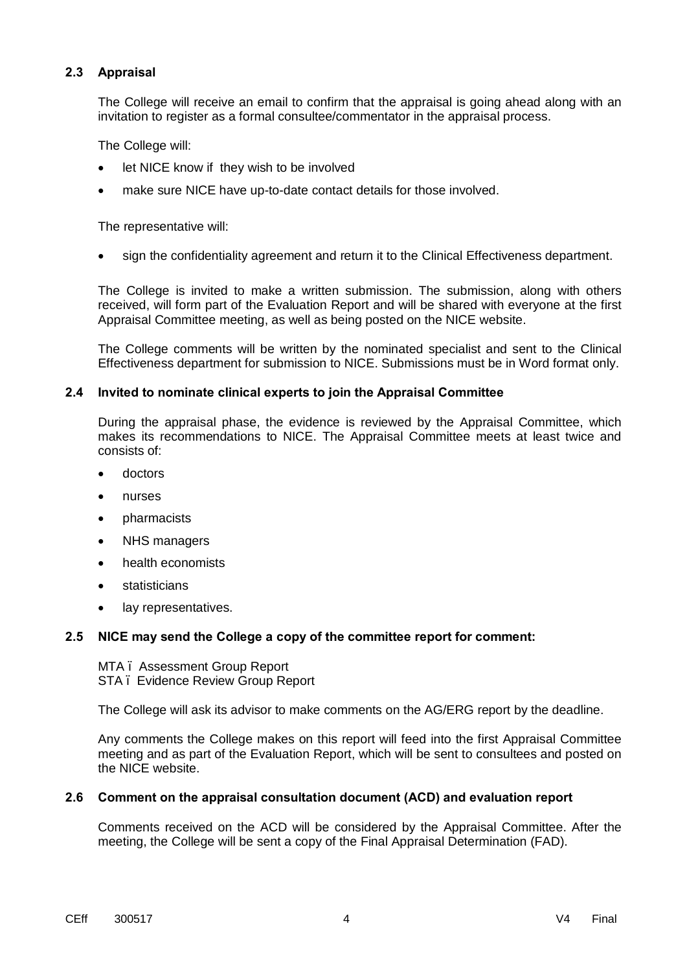## **2.3 Appraisal**

The College will receive an email to confirm that the appraisal is going ahead along with an invitation to register as a formal consultee/commentator in the appraisal process.

The College will:

- let NICE know if they wish to be involved
- make sure NICE have up-to-date contact details for those involved.

The representative will:

· sign the confidentiality agreement and return it to the Clinical Effectiveness department.

The College is invited to make a written submission. The submission, along with others received, will form part of the Evaluation Report and will be shared with everyone at the first Appraisal Committee meeting, as well as being posted on the NICE website.

The College comments will be written by the nominated specialist and sent to the Clinical Effectiveness department for submission to NICE. Submissions must be in Word format only.

#### **2.4 Invited to nominate clinical experts to join the Appraisal Committee**

During the appraisal phase, the evidence is reviewed by the Appraisal Committee, which makes its recommendations to NICE. The Appraisal Committee meets at least twice and consists of:

- · doctors
- · nurses
- · pharmacists
- NHS managers
- health economists
- **statisticians**
- · lay representatives.

## **2.5 NICE may send the College a copy of the committee report for comment:**

MTA – Assessment Group Report STA – Evidence Review Group Report

The College will ask its advisor to make comments on the AG/ERG report by the deadline.

Any comments the College makes on this report will feed into the first Appraisal Committee meeting and as part of the Evaluation Report, which will be sent to consultees and posted on the NICE website.

#### **2.6 Comment on the appraisal consultation document (ACD) and evaluation report**

Comments received on the ACD will be considered by the Appraisal Committee. After the meeting, the College will be sent a copy of the Final Appraisal Determination (FAD).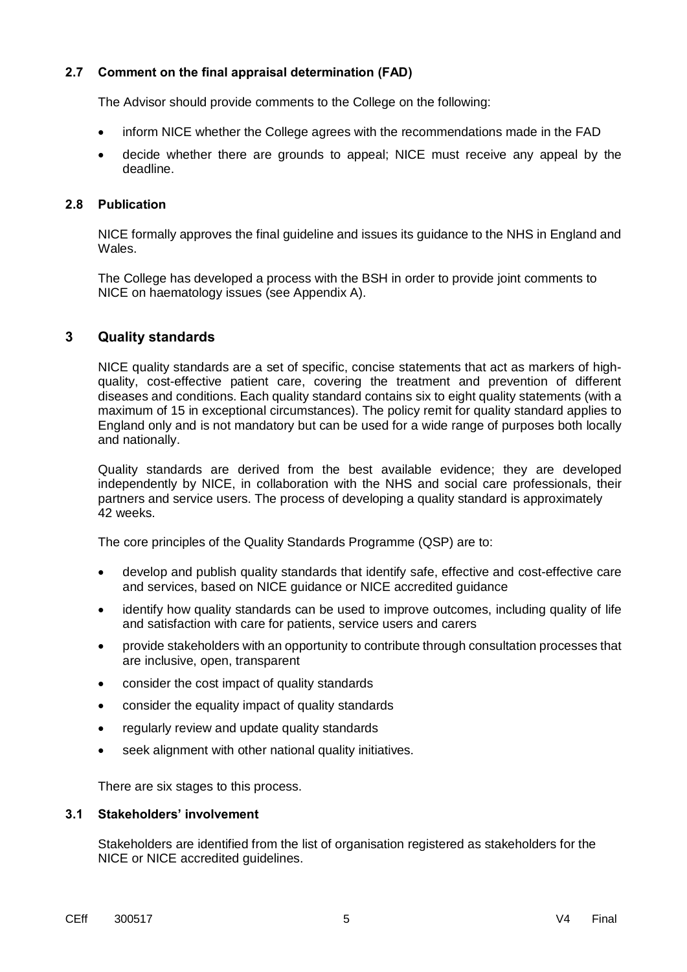## **2.7 Comment on the final appraisal determination (FAD)**

The Advisor should provide comments to the College on the following:

- · inform NICE whether the College agrees with the recommendations made in the FAD
- · decide whether there are grounds to appeal; NICE must receive any appeal by the deadline.

#### **2.8 Publication**

NICE formally approves the final guideline and issues its guidance to the NHS in England and Wales.

The College has developed a process with the BSH in order to provide joint comments to NICE on haematology issues (see Appendix A).

# **3 Quality standards**

NICE quality standards are a set of specific, concise statements that act as markers of highquality, cost-effective patient care, covering the treatment and prevention of different diseases and conditions. Each quality standard contains six to eight quality statements (with a maximum of 15 in exceptional circumstances). The policy remit for quality standard applies to England only and is not mandatory but can be used for a wide range of purposes both locally and nationally.

Quality standards are derived from the best available evidence; they are developed independently by NICE, in collaboration with the NHS and social care professionals, their partners and service users. The process of developing a quality standard is approximately 42 weeks.

The core principles of the Quality Standards Programme (QSP) are to:

- develop and publish quality standards that identify safe, effective and cost-effective care and services, based on NICE guidance or NICE accredited guidance
- · identify how quality standards can be used to improve outcomes, including quality of life and satisfaction with care for patients, service users and carers
- · provide stakeholders with an opportunity to contribute through consultation processes that are inclusive, open, transparent
- · consider the cost impact of quality standards
- · consider the equality impact of quality standards
- · regularly review and update quality standards
- · seek alignment with other national quality initiatives.

There are six stages to this process.

#### **3.1 Stakeholders' involvement**

Stakeholders are identified from the list of organisation registered as stakeholders for the NICE or NICE accredited guidelines.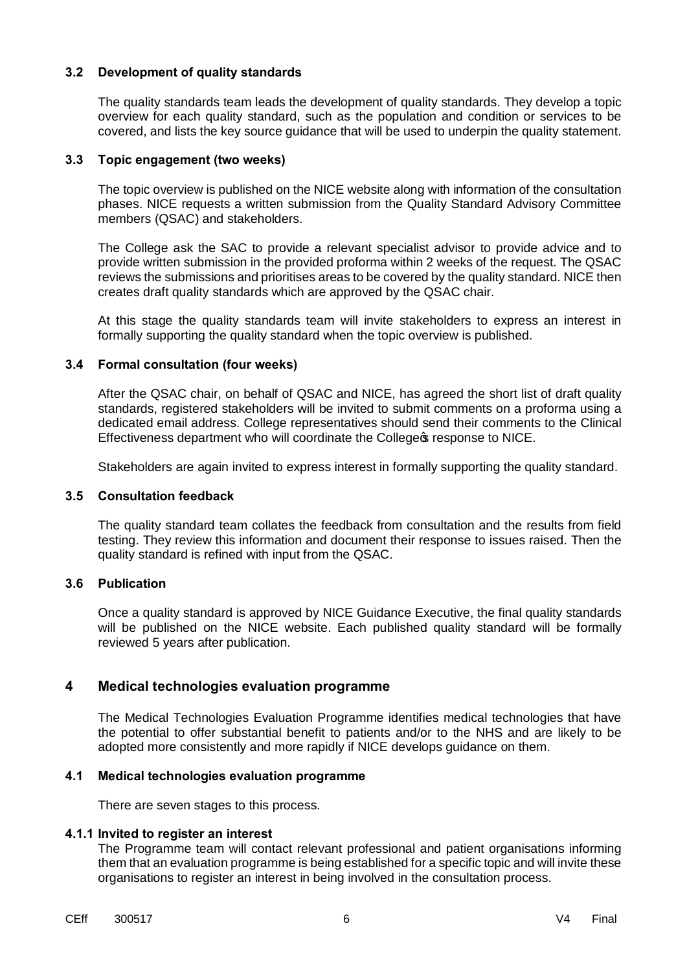## **3.2 Development of quality standards**

The quality standards team leads the development of quality standards. They develop a topic overview for each quality standard, such as the population and condition or services to be covered, and lists the key source guidance that will be used to underpin the quality statement.

#### **3.3 Topic engagement (two weeks)**

The topic overview is published on the NICE website along with information of the consultation phases. NICE requests a written submission from the Quality Standard Advisory Committee members (QSAC) and stakeholders.

The College ask the SAC to provide a relevant specialist advisor to provide advice and to provide written submission in the provided proforma within 2 weeks of the request. The QSAC reviews the submissions and prioritises areas to be covered by the quality standard. NICE then creates draft quality standards which are approved by the QSAC chair.

At this stage the quality standards team will invite stakeholders to express an interest in formally supporting the quality standard when the topic overview is published.

#### **3.4 Formal consultation (four weeks)**

After the QSAC chair, on behalf of QSAC and NICE, has agreed the short list of draft quality standards, registered stakeholders will be invited to submit comments on a proforma using a dedicated email address. College representatives should send their comments to the Clinical Effectiveness department who will coordinate the College & response to NICE.

Stakeholders are again invited to express interest in formally supporting the quality standard.

#### **3.5 Consultation feedback**

The quality standard team collates the feedback from consultation and the results from field testing. They review this information and document their response to issues raised. Then the quality standard is refined with input from the QSAC.

## **3.6 Publication**

Once a quality standard is approved by NICE Guidance Executive, the final quality standards will be published on the NICE website. Each published quality standard will be formally reviewed 5 years after publication.

## **4 Medical technologies evaluation programme**

The Medical Technologies Evaluation Programme identifies medical technologies that have the potential to offer substantial benefit to patients and/or to the NHS and are likely to be adopted more consistently and more rapidly if NICE develops guidance on them.

## **4.1 Medical technologies evaluation programme**

There are seven stages to this process.

## **4.1.1 Invited to register an interest**

The Programme team will contact relevant professional and patient organisations informing them that an evaluation programme is being established for a specific topic and will invite these organisations to register an interest in being involved in the consultation process.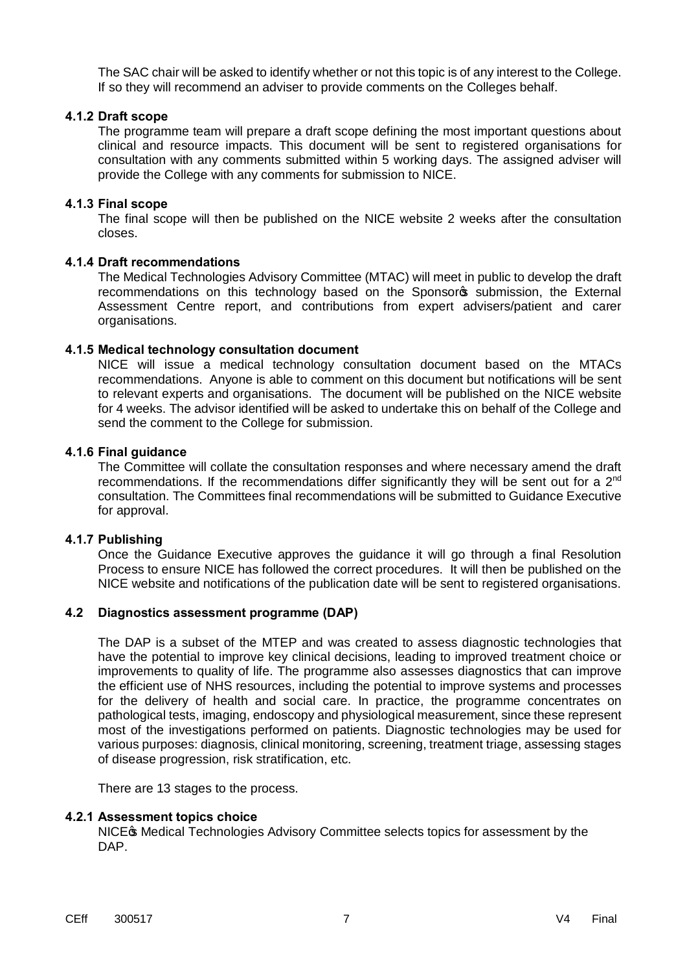The SAC chair will be asked to identify whether or not this topic is of any interest to the College. If so they will recommend an adviser to provide comments on the Colleges behalf.

#### **4.1.2 Draft scope**

The programme team will prepare a draft scope defining the most important questions about clinical and resource impacts. This document will be sent to registered organisations for consultation with any comments submitted within 5 working days. The assigned adviser will provide the College with any comments for submission to NICE.

#### **4.1.3 Final scope**

The final scope will then be published on the NICE website 2 weeks after the consultation closes.

## **4.1.4 Draft recommendations**

The Medical Technologies Advisory Committee (MTAC) will meet in public to develop the draft recommendations on this technology based on the Sponsores submission, the External Assessment Centre report, and contributions from expert advisers/patient and carer organisations.

#### **4.1.5 Medical technology consultation document**

NICE will issue a medical technology consultation document based on the MTACs recommendations. Anyone is able to comment on this document but notifications will be sent to relevant experts and organisations. The document will be published on the NICE website for 4 weeks. The advisor identified will be asked to undertake this on behalf of the College and send the comment to the College for submission.

#### **4.1.6 Final guidance**

The Committee will collate the consultation responses and where necessary amend the draft recommendations. If the recommendations differ significantly they will be sent out for a  $2<sup>nd</sup>$ consultation. The Committees final recommendations will be submitted to Guidance Executive for approval.

#### **4.1.7 Publishing**

Once the Guidance Executive approves the guidance it will go through a final Resolution Process to ensure NICE has followed the correct procedures. It will then be published on the NICE website and notifications of the publication date will be sent to registered organisations.

## **4.2 Diagnostics assessment programme (DAP)**

The DAP is a subset of the MTEP and was created to assess diagnostic technologies that have the potential to improve key clinical decisions, leading to improved treatment choice or improvements to quality of life. The programme also assesses diagnostics that can improve the efficient use of NHS resources, including the potential to improve systems and processes for the delivery of health and social care. In practice, the programme concentrates on pathological tests, imaging, endoscopy and physiological measurement, since these represent most of the investigations performed on patients. Diagnostic technologies may be used for various purposes: diagnosis, clinical monitoring, screening, treatment triage, assessing stages of disease progression, risk stratification, etc.

There are 13 stages to the process.

## **4.2.1 Assessment topics choice**

NICE<sub>C</sub> Medical Technologies Advisory Committee selects topics for assessment by the DAP.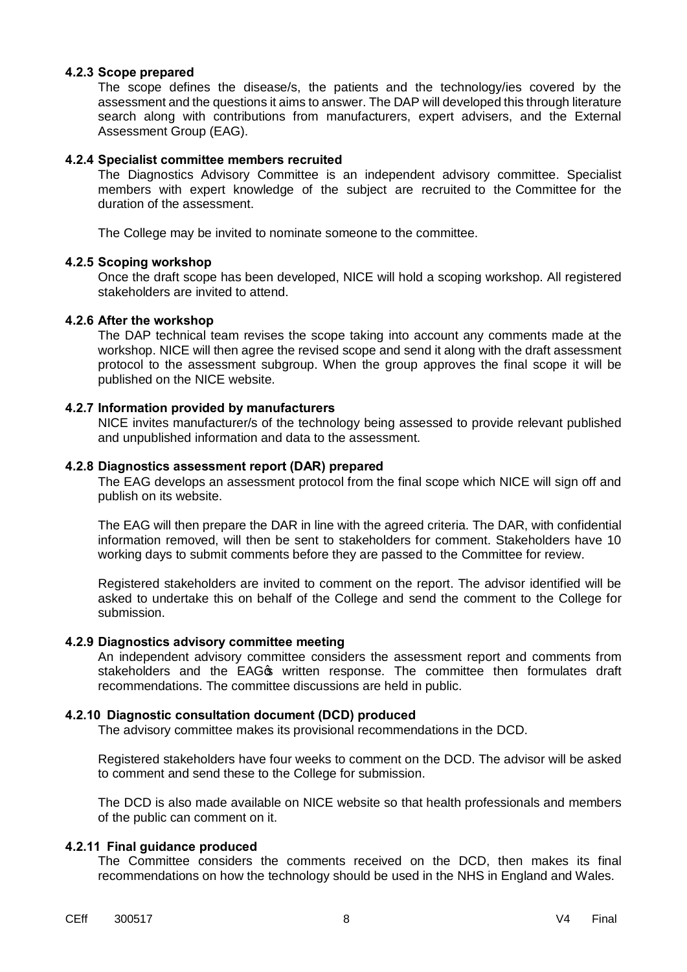#### **4.2.3 Scope prepared**

The scope defines the disease/s, the patients and the technology/ies covered by the assessment and the questions it aims to answer. The DAP will developed this through literature search along with contributions from manufacturers, expert advisers, and the External Assessment Group (EAG).

#### **4.2.4 Specialist committee members recruited**

The Diagnostics Advisory Committee is an independent advisory committee. Specialist members with expert knowledge of the subject are recruited to the Committee for the duration of the assessment.

The College may be invited to nominate someone to the committee.

#### **4.2.5 Scoping workshop**

Once the draft scope has been developed, NICE will hold a scoping workshop. All registered stakeholders are invited to attend.

#### **4.2.6 After the workshop**

The DAP technical team revises the scope taking into account any comments made at the workshop. NICE will then agree the revised scope and send it along with the draft assessment protocol to the assessment subgroup. When the group approves the final scope it will be published on the NICE website.

#### **4.2.7 Information provided by manufacturers**

NICE invites manufacturer/s of the technology being assessed to provide relevant published and unpublished information and data to the assessment.

#### **4.2.8 Diagnostics assessment report (DAR) prepared**

The EAG develops an assessment protocol from the final scope which NICE will sign off and publish on its website.

The EAG will then prepare the DAR in line with the agreed criteria. The DAR, with confidential information removed, will then be sent to stakeholders for comment. Stakeholders have 10 working days to submit comments before they are passed to the Committee for review.

Registered stakeholders are invited to comment on the report. The advisor identified will be asked to undertake this on behalf of the College and send the comment to the College for submission.

#### **4.2.9 Diagnostics advisory committee meeting**

An independent advisory committee considers the assessment report and comments from stakeholders and the EAG<sub>C</sub> written response. The committee then formulates draft recommendations. The committee discussions are held in public.

#### **4.2.10 Diagnostic consultation document (DCD) produced**

The advisory committee makes its provisional recommendations in the DCD.

Registered stakeholders have four weeks to comment on the DCD. The advisor will be asked to comment and send these to the College for submission.

The DCD is also made available on NICE website so that health professionals and members of the public can comment on it.

#### **4.2.11 Final guidance produced**

The Committee considers the comments received on the DCD, then makes its final recommendations on how the technology should be used in the NHS in England and Wales.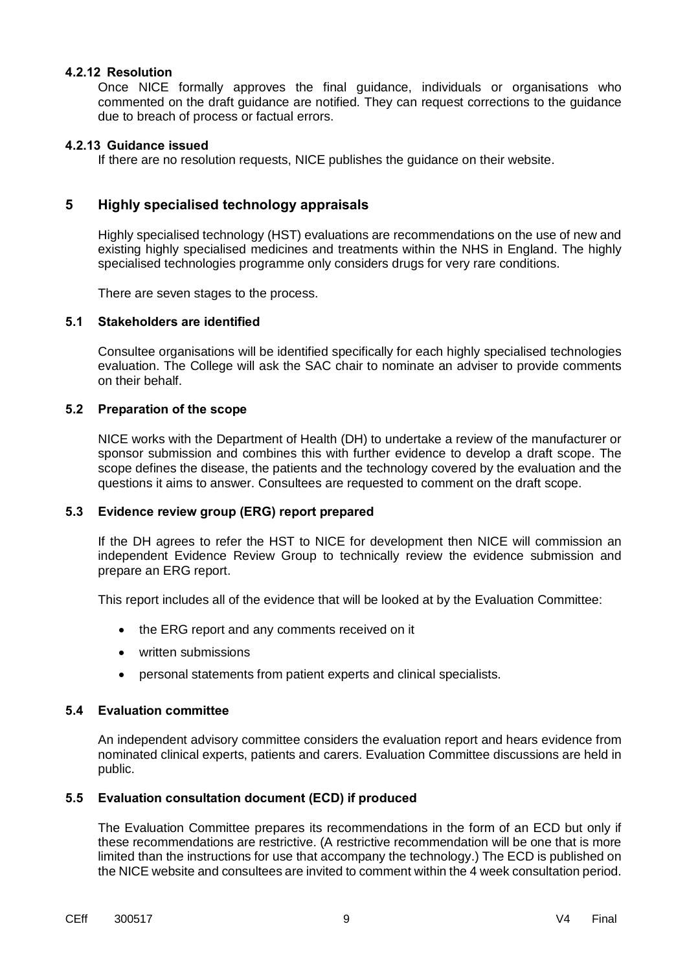#### **4.2.12 Resolution**

Once NICE formally approves the final guidance, individuals or organisations who commented on the draft guidance are notified. They can request corrections to the guidance due to breach of process or factual errors.

#### **4.2.13 Guidance issued**

If there are no resolution requests, NICE publishes the guidance on their website.

## **5 Highly specialised technology appraisals**

Highly specialised technology (HST) evaluations are recommendations on the use of new and existing highly specialised medicines and treatments within the NHS in England. The highly specialised technologies programme only considers drugs for very rare conditions.

There are seven stages to the process.

#### **5.1 Stakeholders are identified**

Consultee organisations will be identified specifically for each highly specialised technologies evaluation. The College will ask the SAC chair to nominate an adviser to provide comments on their behalf.

#### **5.2 Preparation of the scope**

NICE works with the Department of Health (DH) to undertake a review of the manufacturer or sponsor submission and combines this with further evidence to develop a draft scope. The scope defines the disease, the patients and the technology covered by the evaluation and the questions it aims to answer. Consultees are requested to comment on the draft scope.

#### **5.3 Evidence review group (ERG) report prepared**

If the DH agrees to refer the HST to NICE for development then NICE will commission an independent Evidence Review Group to technically review the evidence submission and prepare an ERG report.

This report includes all of the evidence that will be looked at by the Evaluation Committee:

- the ERG report and any comments received on it
- · written submissions
- · personal statements from patient experts and clinical specialists.

#### **5.4 Evaluation committee**

An independent advisory committee considers the evaluation report and hears evidence from nominated clinical experts, patients and carers. Evaluation Committee discussions are held in public.

## **5.5 Evaluation consultation document (ECD) if produced**

The Evaluation Committee prepares its recommendations in the form of an ECD but only if these recommendations are restrictive. (A restrictive recommendation will be one that is more limited than the instructions for use that accompany the technology.) The ECD is published on the NICE website and consultees are invited to comment within the 4 week consultation period.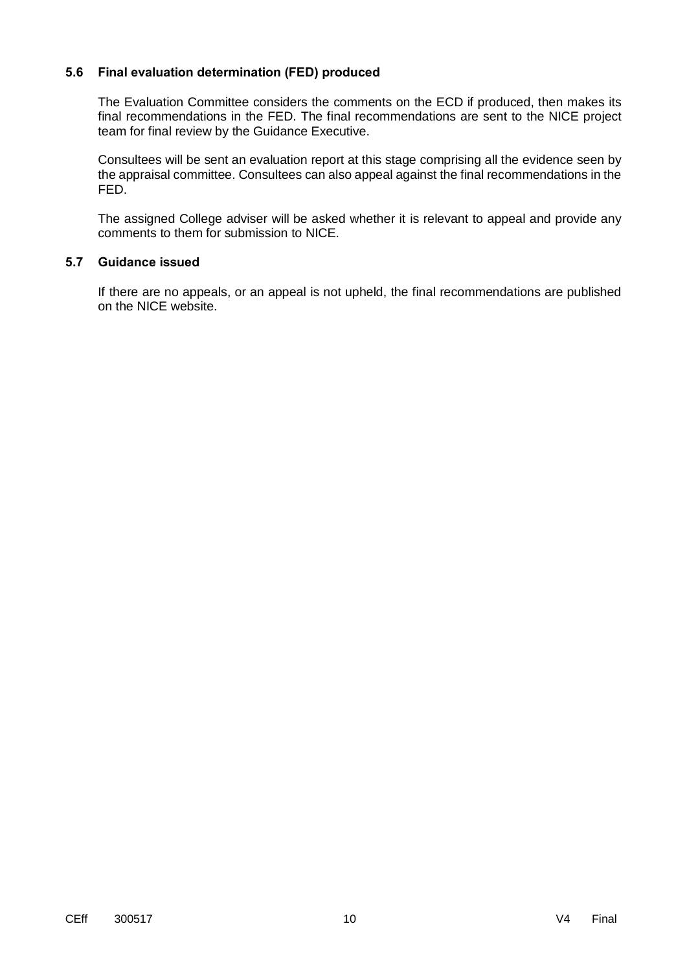## **5.6 Final evaluation determination (FED) produced**

The Evaluation Committee considers the comments on the ECD if produced, then makes its final recommendations in the FED. The final recommendations are sent to the NICE project team for final review by the Guidance Executive.

Consultees will be sent an evaluation report at this stage comprising all the evidence seen by the appraisal committee. Consultees can also appeal against the final recommendations in the FED.

The assigned College adviser will be asked whether it is relevant to appeal and provide any comments to them for submission to NICE.

## **5.7 Guidance issued**

If there are no appeals, or an appeal is not upheld, the final recommendations are published on the NICE website.